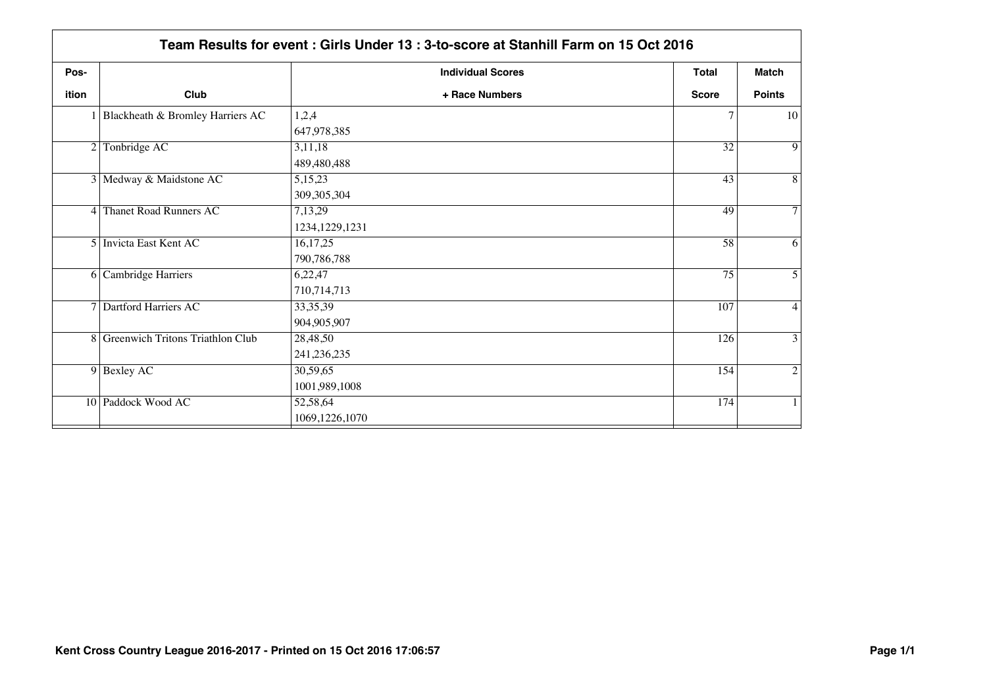|       | Team Results for event: Girls Under 13: 3-to-score at Stanhill Farm on 15 Oct 2016 |                             |                  |                |  |
|-------|------------------------------------------------------------------------------------|-----------------------------|------------------|----------------|--|
| Pos-  |                                                                                    | <b>Individual Scores</b>    | <b>Total</b>     | Match          |  |
| ition | Club                                                                               | + Race Numbers              | <b>Score</b>     | <b>Points</b>  |  |
|       | 1 Blackheath & Bromley Harriers AC                                                 | 1,2,4<br>647,978,385        | 7                | 10             |  |
|       | 2 Tonbridge AC                                                                     | 3,11,18<br>489,480,488      | 32               | $\overline{9}$ |  |
|       | 3 Medway & Maidstone AC                                                            | 5,15,23<br>309,305,304      | 43               | $\overline{8}$ |  |
|       | 4 Thanet Road Runners AC                                                           | 7,13,29<br>1234, 1229, 1231 | 49               | $\overline{7}$ |  |
|       | 5 Invicta East Kent AC                                                             | 16,17,25<br>790,786,788     | 58               | $\overline{6}$ |  |
|       | 6 Cambridge Harriers                                                               | 6,22,47<br>710,714,713      | 75               | $\overline{5}$ |  |
|       | 7 Dartford Harriers AC                                                             | 33, 35, 39<br>904,905,907   | 107              | $\overline{4}$ |  |
|       | 8 Greenwich Tritons Triathlon Club                                                 | 28,48,50<br>241, 236, 235   | $\overline{126}$ | $\overline{3}$ |  |
|       | $9$ Bexley AC                                                                      | 30,59,65<br>1001,989,1008   | 154              | $\overline{2}$ |  |
|       | 10 Paddock Wood AC                                                                 | 52,58,64<br>1069,1226,1070  | 174              | 1              |  |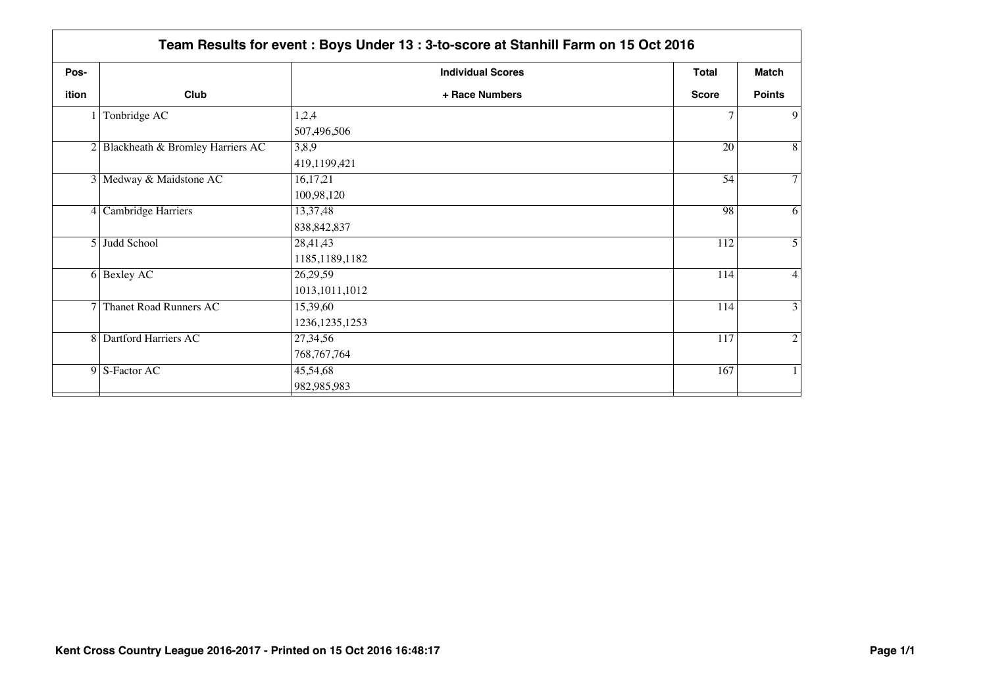|       | Team Results for event: Boys Under 13: 3-to-score at Stanhill Farm on 15 Oct 2016 |                          |              |                |  |
|-------|-----------------------------------------------------------------------------------|--------------------------|--------------|----------------|--|
| Pos-  |                                                                                   | <b>Individual Scores</b> | <b>Total</b> | Match          |  |
| ition | Club                                                                              | + Race Numbers           | <b>Score</b> | <b>Points</b>  |  |
|       | Tonbridge AC                                                                      | 1,2,4                    |              | 9              |  |
|       |                                                                                   | 507,496,506              |              |                |  |
|       | 2 Blackheath & Bromley Harriers AC                                                | 3,8,9                    | 20           | 8              |  |
|       |                                                                                   | 419,1199,421             |              |                |  |
|       | 3 Medway & Maidstone AC                                                           | 16,17,21                 | 54           | $\tau$         |  |
|       |                                                                                   | 100,98,120               |              |                |  |
|       | 4 Cambridge Harriers                                                              | 13,37,48                 | 98           | 6              |  |
|       |                                                                                   | 838, 842, 837            |              |                |  |
|       | 5 Judd School                                                                     | 28,41,43                 | 112          | 5              |  |
|       |                                                                                   | 1185, 1189, 1182         |              |                |  |
|       | 6 Bexley AC                                                                       | 26,29,59                 | 114          | $\overline{4}$ |  |
|       |                                                                                   | 1013, 1011, 1012         |              |                |  |
|       | 7 Thanet Road Runners AC                                                          | 15,39,60                 | 114          | $\overline{3}$ |  |
|       |                                                                                   | 1236, 1235, 1253         |              |                |  |
|       | 8 Dartford Harriers AC                                                            | 27,34,56                 | 117          | 2              |  |
|       |                                                                                   | 768, 767, 764            |              |                |  |
|       | 9 S-Factor AC                                                                     | 45,54,68                 | 167          |                |  |
|       |                                                                                   | 982,985,983              |              |                |  |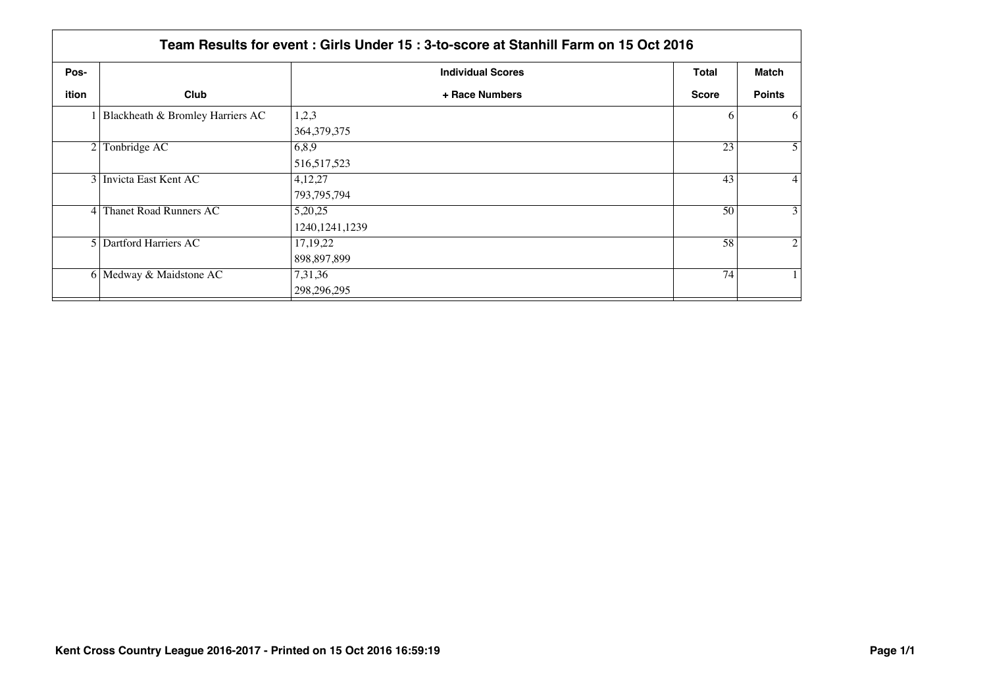|       | Team Results for event: Girls Under 15: 3-to-score at Stanhill Farm on 15 Oct 2016 |                          |              |                |  |  |
|-------|------------------------------------------------------------------------------------|--------------------------|--------------|----------------|--|--|
| Pos-  |                                                                                    | <b>Individual Scores</b> | Total        | <b>Match</b>   |  |  |
| ition | Club                                                                               | + Race Numbers           | <b>Score</b> | <b>Points</b>  |  |  |
|       | I Blackheath & Bromley Harriers AC                                                 | 1,2,3                    | 6            | 6              |  |  |
|       |                                                                                    | 364, 379, 375            |              |                |  |  |
|       | Tonbridge AC<br>6,8,9<br>$\overline{2}$                                            |                          | 23           | 5              |  |  |
|       |                                                                                    | 516, 517, 523            |              |                |  |  |
|       | 3 Invicta East Kent AC                                                             | 4,12,27                  | 43           | $\overline{4}$ |  |  |
|       |                                                                                    | 793, 795, 794            |              |                |  |  |
|       | 4 Thanet Road Runners AC                                                           | 5,20,25                  | 50           | 3              |  |  |
|       |                                                                                    | 1240, 1241, 1239         |              |                |  |  |
|       | 5 Dartford Harriers AC                                                             | 17, 19, 22               | 58           | $\overline{2}$ |  |  |
|       |                                                                                    | 898,897,899              |              |                |  |  |
|       | 6 Medway & Maidstone AC                                                            | 7,31,36                  | 74           |                |  |  |
|       |                                                                                    | 298,296,295              |              |                |  |  |
|       |                                                                                    |                          |              |                |  |  |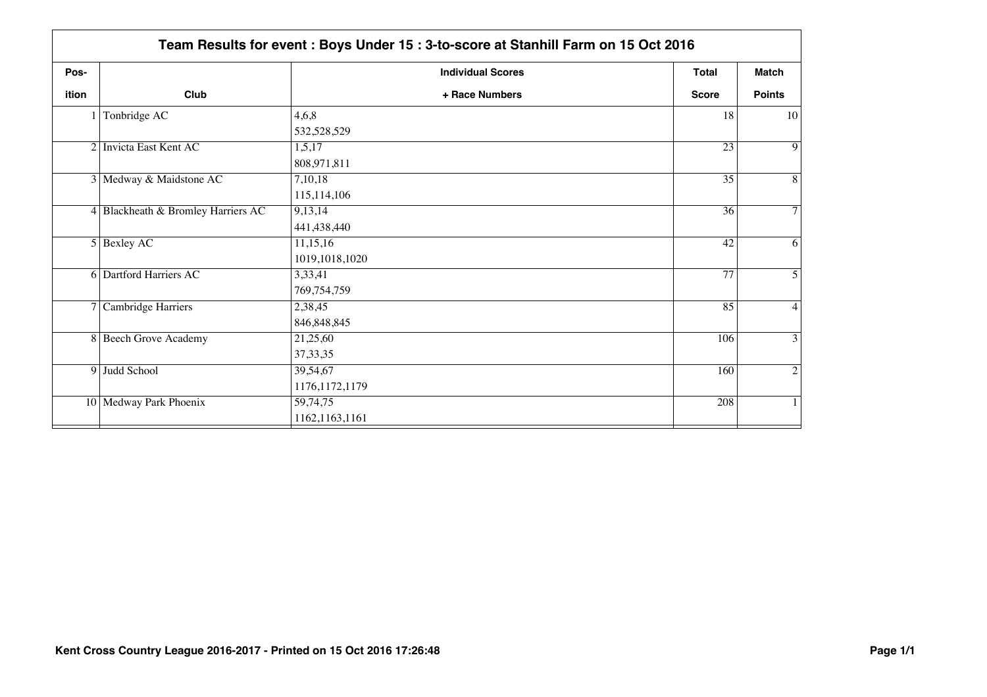| Pos-  |                                    | <b>Individual Scores</b> | <b>Total</b>    | <b>Match</b>   |
|-------|------------------------------------|--------------------------|-----------------|----------------|
| ition | Club                               | + Race Numbers           | <b>Score</b>    | <b>Points</b>  |
|       | Tonbridge AC                       | 4,6,8                    | 18              | 10             |
|       |                                    | 532,528,529              |                 |                |
|       | 2 Invicta East Kent AC             | 1,5,17                   | $\overline{23}$ | $\overline{9}$ |
|       |                                    | 808,971,811              |                 |                |
|       | 3 Medway & Maidstone AC            | 7,10,18                  | 35              | $\overline{8}$ |
|       |                                    | 115,114,106              |                 |                |
|       | 4 Blackheath & Bromley Harriers AC | 9,13,14                  | 36              | $\overline{7}$ |
|       |                                    | 441,438,440              |                 |                |
|       | $5$ Bexley AC                      | 11,15,16                 | 42              | $\overline{6}$ |
|       |                                    | 1019,1018,1020           |                 |                |
|       | <b>6</b> Dartford Harriers AC      | 3,33,41                  | 77              | $\overline{5}$ |
|       |                                    | 769,754,759              |                 |                |
|       | 7 Cambridge Harriers               | 2,38,45                  | 85              | $\overline{4}$ |
|       |                                    | 846, 848, 845            |                 |                |
|       | 8 Beech Grove Academy              | 21,25,60                 | 106             | $\overline{3}$ |
|       |                                    | 37, 33, 35               |                 |                |
|       | 9 Judd School                      | 39,54,67                 | 160             | $\overline{2}$ |
|       |                                    | 1176, 1172, 1179         |                 |                |
|       | 10 Medway Park Phoenix             | 59,74,75                 | 208             | $\mathbf{1}$   |
|       |                                    | 1162,1163,1161           |                 |                |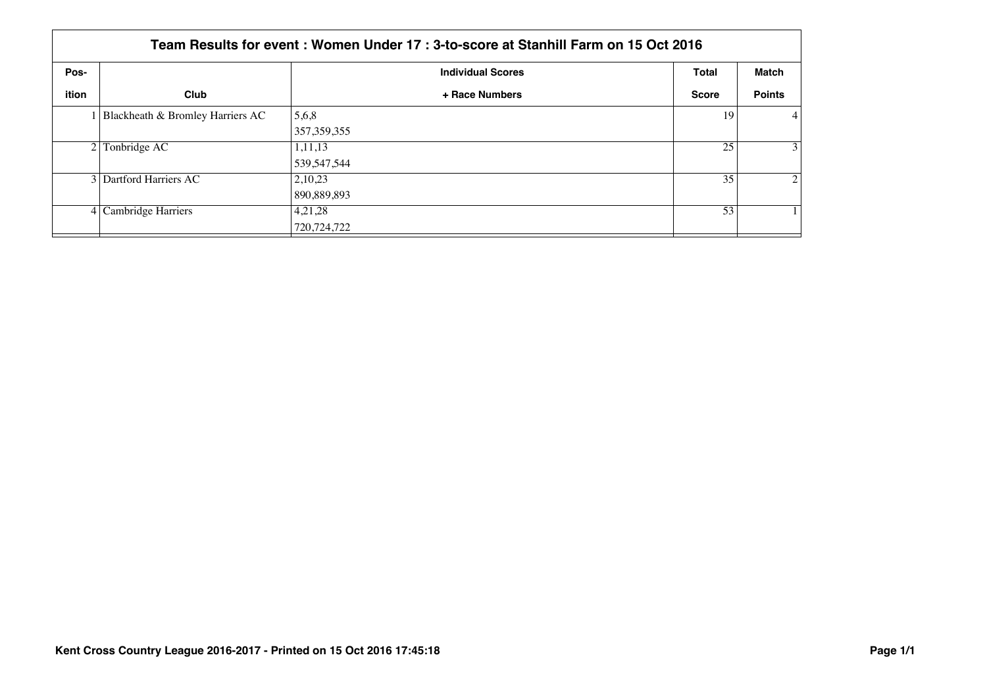|              | Team Results for event : Women Under 17 : 3-to-score at Stanhill Farm on 15 Oct 2016 |                          |              |                |  |  |
|--------------|--------------------------------------------------------------------------------------|--------------------------|--------------|----------------|--|--|
| Pos-         |                                                                                      | <b>Individual Scores</b> | <b>Total</b> | Match          |  |  |
| <b>ition</b> | Club                                                                                 | + Race Numbers           | <b>Score</b> | <b>Points</b>  |  |  |
|              | Blackheath & Bromley Harriers AC                                                     | 5,6,8                    | 19           | $\overline{4}$ |  |  |
|              |                                                                                      | 357, 359, 355            |              |                |  |  |
|              | $2$ Tonbridge AC                                                                     | 1,11,13                  | 25           | 3              |  |  |
|              |                                                                                      | 539, 547, 544            |              |                |  |  |
|              | 3 Dartford Harriers AC                                                               | 2,10,23                  | 35           | 2              |  |  |
|              |                                                                                      | 890,889,893              |              |                |  |  |
|              | $4$ Cambridge Harriers                                                               | 4,21,28                  | 53           |                |  |  |
|              |                                                                                      | 720,724,722              |              |                |  |  |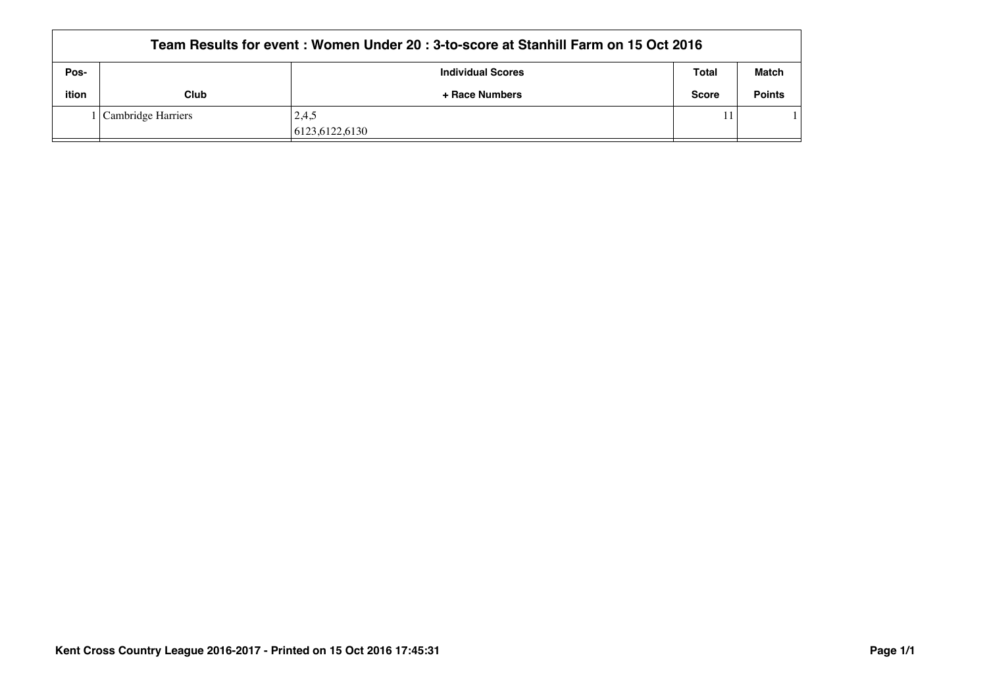|       | Team Results for event: Women Under 20: 3-to-score at Stanhill Farm on 15 Oct 2016 |                          |              |               |  |  |
|-------|------------------------------------------------------------------------------------|--------------------------|--------------|---------------|--|--|
| Pos-  |                                                                                    | <b>Individual Scores</b> | Total        | <b>Match</b>  |  |  |
| ition | <b>Club</b>                                                                        | + Race Numbers           | <b>Score</b> | <b>Points</b> |  |  |
|       | Cambridge Harriers                                                                 | 2,4,5                    |              |               |  |  |
|       |                                                                                    | 6123.6122.6130           |              |               |  |  |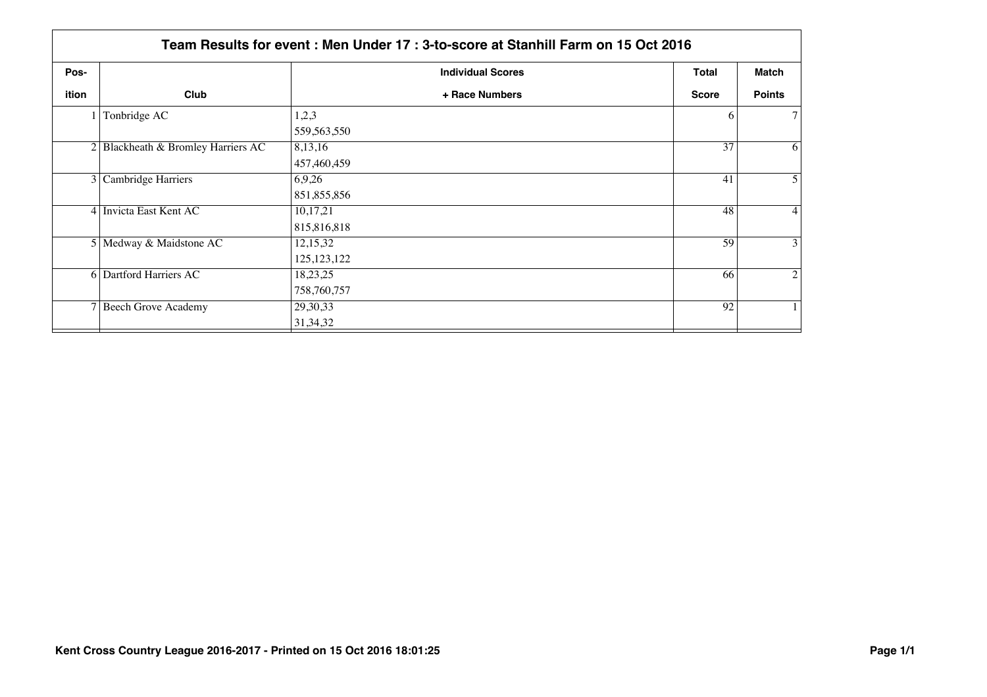|       | Team Results for event: Men Under 17: 3-to-score at Stanhill Farm on 15 Oct 2016 |                          |              |                |  |
|-------|----------------------------------------------------------------------------------|--------------------------|--------------|----------------|--|
| Pos-  |                                                                                  | <b>Individual Scores</b> | <b>Total</b> | Match          |  |
| ition | Club                                                                             | + Race Numbers           | <b>Score</b> | <b>Points</b>  |  |
|       | Tonbridge AC                                                                     | 1,2,3                    | 6            | $\tau$         |  |
|       |                                                                                  | 559,563,550              |              |                |  |
|       | 2 Blackheath & Bromley Harriers AC                                               | 8,13,16                  | 37           | 6              |  |
|       |                                                                                  | 457,460,459              |              |                |  |
|       | 3 Cambridge Harriers                                                             | 6,9,26                   | 41           | 5              |  |
|       |                                                                                  | 851,855,856              |              |                |  |
|       | 4 Invicta East Kent AC                                                           | 10,17,21                 | 48           | $\overline{4}$ |  |
|       |                                                                                  | 815,816,818              |              |                |  |
|       | 5 Medway & Maidstone AC                                                          | 12,15,32                 | 59           | 3              |  |
|       |                                                                                  | 125, 123, 122            |              |                |  |
|       | <b>6</b> Dartford Harriers AC                                                    | 18,23,25                 | 66           | $\overline{2}$ |  |
|       |                                                                                  | 758,760,757              |              |                |  |
|       | 7 Beech Grove Academy                                                            | 29,30,33                 | 92           |                |  |
|       |                                                                                  | 31, 34, 32               |              |                |  |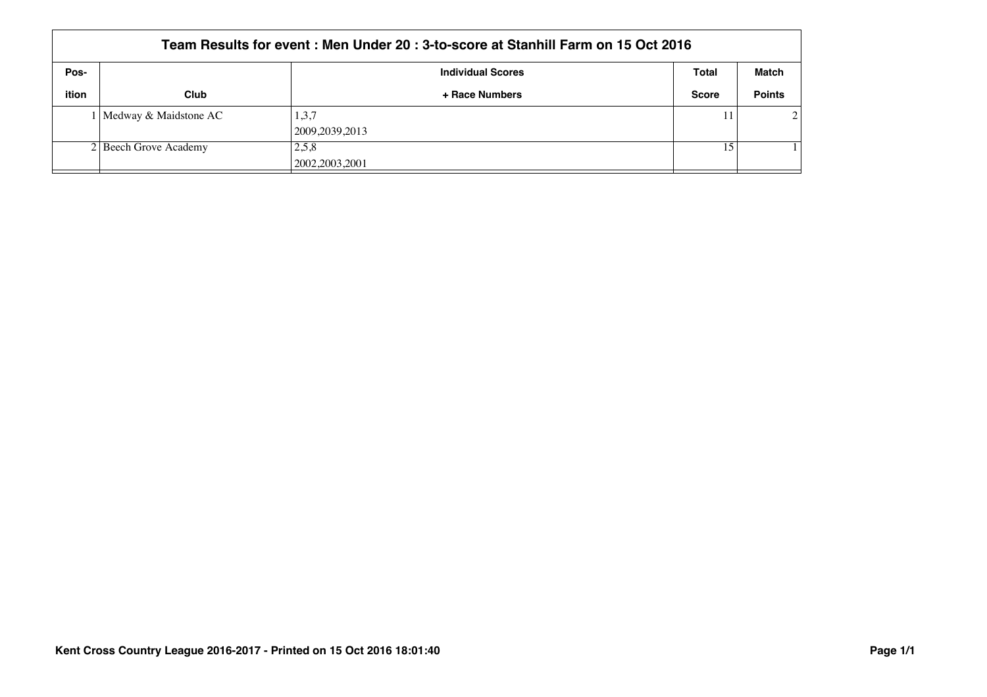|       | Team Results for event: Men Under 20: 3-to-score at Stanhill Farm on 15 Oct 2016 |                           |              |                             |  |  |
|-------|----------------------------------------------------------------------------------|---------------------------|--------------|-----------------------------|--|--|
| Pos-  |                                                                                  | <b>Individual Scores</b>  | Total        | Match                       |  |  |
| ition | Club                                                                             | + Race Numbers            | <b>Score</b> | <b>Points</b>               |  |  |
|       | l   Medway & Maidstone AC                                                        | 1,3,7<br>2009, 2039, 2013 |              | $\mathcal{D}_{\mathcal{L}}$ |  |  |
|       | 2 Beech Grove Academy                                                            | 2.5.8<br>2002, 2003, 2001 | 15           |                             |  |  |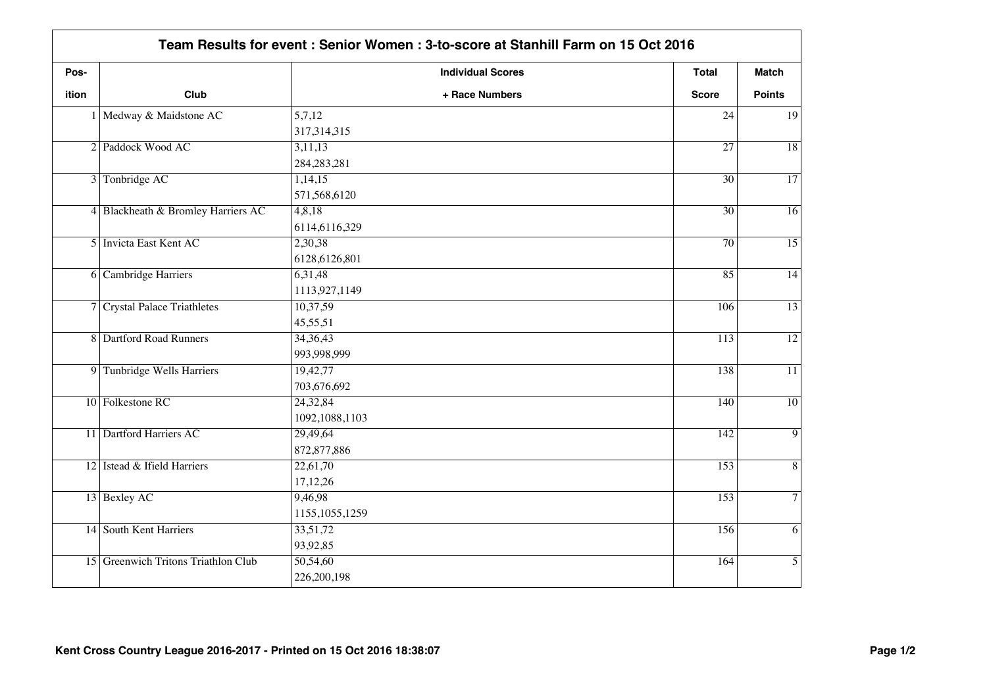| Pos-         |                                     | <b>Individual Scores</b> | Total            | <b>Match</b>    |
|--------------|-------------------------------------|--------------------------|------------------|-----------------|
| <b>ition</b> | Club                                | + Race Numbers           | <b>Score</b>     | <b>Points</b>   |
|              | 1 Medway & Maidstone AC             | 5,7,12                   | 24               | 19              |
|              |                                     | 317, 314, 315            |                  |                 |
|              | 2 Paddock Wood AC                   | 3,11,13                  | $\overline{27}$  | $\overline{18}$ |
|              |                                     | 284, 283, 281            |                  |                 |
|              | 3 Tonbridge AC                      | 1,14,15                  | $\overline{30}$  | $\overline{17}$ |
|              |                                     | 571,568,6120             |                  |                 |
|              | 4 Blackheath & Bromley Harriers AC  | 4,8,18                   | $\overline{30}$  | $\overline{16}$ |
|              |                                     | 6114,6116,329            |                  |                 |
|              | 5 Invicta East Kent AC              | 2,30,38                  | 70               | $\overline{15}$ |
|              |                                     | 6128,6126,801            |                  |                 |
|              | 6 Cambridge Harriers                | 6,31,48                  | 85               | $\overline{14}$ |
|              |                                     | 1113,927,1149            |                  |                 |
|              | 7 Crystal Palace Triathletes        | 10,37,59                 | 106              | $\overline{13}$ |
|              |                                     | 45,55,51                 |                  |                 |
|              | 8 Dartford Road Runners             | 34, 36, 43               | $\overline{113}$ | $\overline{12}$ |
|              |                                     | 993,998,999              |                  |                 |
|              | 9 Tunbridge Wells Harriers          | 19,42,77                 | 138              | $\overline{11}$ |
|              |                                     | 703,676,692              |                  |                 |
|              | 10 Folkestone RC                    | 24,32,84                 | 140              | $\overline{10}$ |
|              |                                     | 1092,1088,1103           |                  |                 |
|              | 11 Dartford Harriers AC             | 29,49,64                 | 142              | $\overline{9}$  |
|              |                                     | 872, 877, 886            |                  |                 |
|              | 12 Istead & Ifield Harriers         | 22,61,70                 | 153              | $\,8\,$         |
|              |                                     | 17,12,26                 |                  |                 |
|              | 13 Bexley AC                        | 9,46,98                  | 153              | $\overline{7}$  |
|              |                                     | 1155, 1055, 1259         |                  |                 |
|              | 14 South Kent Harriers              | 33,51,72                 | 156              | 6               |
|              |                                     | 93,92,85                 |                  |                 |
|              | 15 Greenwich Tritons Triathlon Club | 50,54,60                 | 164              | $\overline{5}$  |
|              |                                     | 226,200,198              |                  |                 |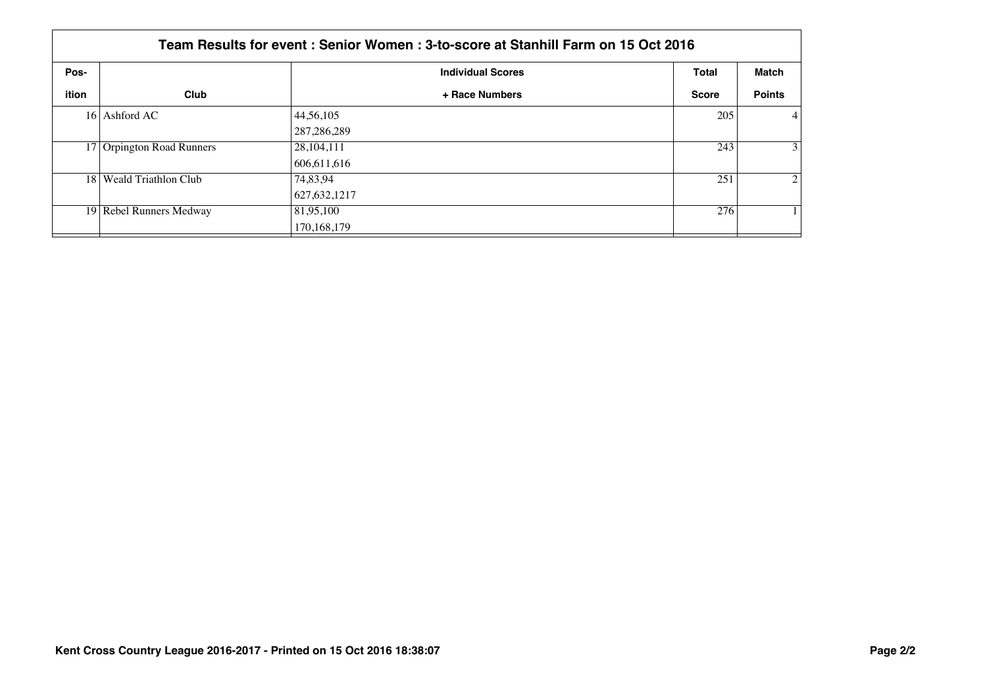|       | Team Results for event: Senior Women: 3-to-score at Stanhill Farm on 15 Oct 2016 |                          |              |                |  |  |
|-------|----------------------------------------------------------------------------------|--------------------------|--------------|----------------|--|--|
| Pos-  |                                                                                  | <b>Individual Scores</b> | <b>Total</b> | Match          |  |  |
| ition | Club                                                                             | + Race Numbers           | <b>Score</b> | <b>Points</b>  |  |  |
|       | 16 Ashford AC                                                                    | 44,56,105                | 205          | $\vert$ 4      |  |  |
|       |                                                                                  | 287, 286, 289            |              |                |  |  |
|       | 17 Orpington Road Runners                                                        | 28,104,111               | 243          | 3 <sup>1</sup> |  |  |
|       |                                                                                  | 606.611.616              |              |                |  |  |
|       | 18   Weald Triathlon Club                                                        | 74,83,94                 | 251          | $\overline{2}$ |  |  |
|       |                                                                                  | 627,632,1217             |              |                |  |  |
|       | 19 Rebel Runners Medway                                                          | 81,95,100                | 276          |                |  |  |
|       |                                                                                  | 170,168,179              |              |                |  |  |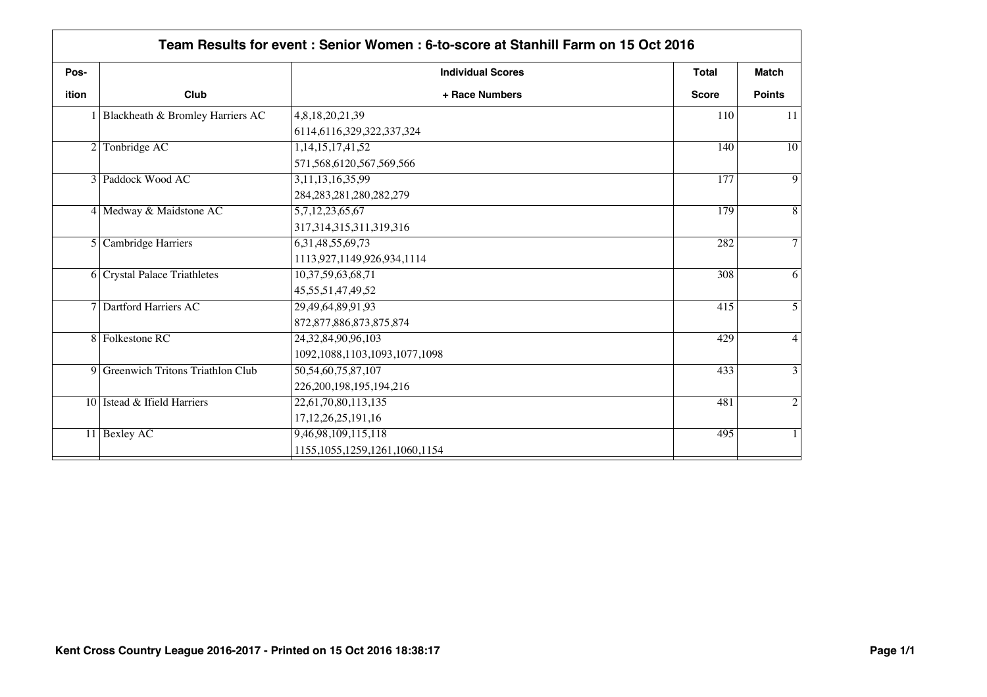| ition |                                    | <b>Individual Scores</b>           | <b>Total</b> | <b>Match</b>   |
|-------|------------------------------------|------------------------------------|--------------|----------------|
|       | Club                               | + Race Numbers                     | <b>Score</b> | <b>Points</b>  |
|       | 1 Blackheath & Bromley Harriers AC | 4,8,18,20,21,39                    | 110          | -11            |
|       |                                    | 6114,6116,329,322,337,324          |              |                |
|       | 2 Tonbridge AC                     | 1,14,15,17,41,52                   | 140          | 10             |
|       |                                    | 571, 568, 6120, 567, 569, 566      |              |                |
|       | 3 Paddock Wood AC                  | 3, 11, 13, 16, 35, 99              | 177          | 9              |
|       |                                    | 284, 283, 281, 280, 282, 279       |              |                |
|       | 4 Medway & Maidstone AC            | 5,7,12,23,65,67                    | 179          | 8              |
|       |                                    | 317, 314, 315, 311, 319, 316       |              |                |
|       | 5 Cambridge Harriers               | 6, 31, 48, 55, 69, 73              | 282          | $\overline{7}$ |
|       |                                    | 1113,927,1149,926,934,1114         |              |                |
|       | 6 Crystal Palace Triathletes       | 10,37,59,63,68,71                  | 308          | 6              |
|       |                                    | 45, 55, 51, 47, 49, 52             |              |                |
|       | 7 Dartford Harriers AC             | 29,49,64,89,91,93                  | 415          | 5              |
|       |                                    | 872, 877, 886, 873, 875, 874       |              |                |
|       | 8 Folkestone RC                    | 24, 32, 84, 90, 96, 103            | 429          | 4              |
|       |                                    | 1092, 1088, 1103, 1093, 1077, 1098 |              |                |
|       | 9 Greenwich Tritons Triathlon Club | 50,54,60,75,87,107                 | 433          | 3              |
|       |                                    | 226, 200, 198, 195, 194, 216       |              |                |
|       | 10 Istead & Ifield Harriers        | 22,61,70,80,113,135                | 481          | $\overline{2}$ |
|       |                                    | 17, 12, 26, 25, 191, 16            |              |                |
|       | 11 Bexley AC                       | 9,46,98,109,115,118                | 495          | 1              |
|       |                                    | 1155, 1055, 1259, 1261, 1060, 1154 |              |                |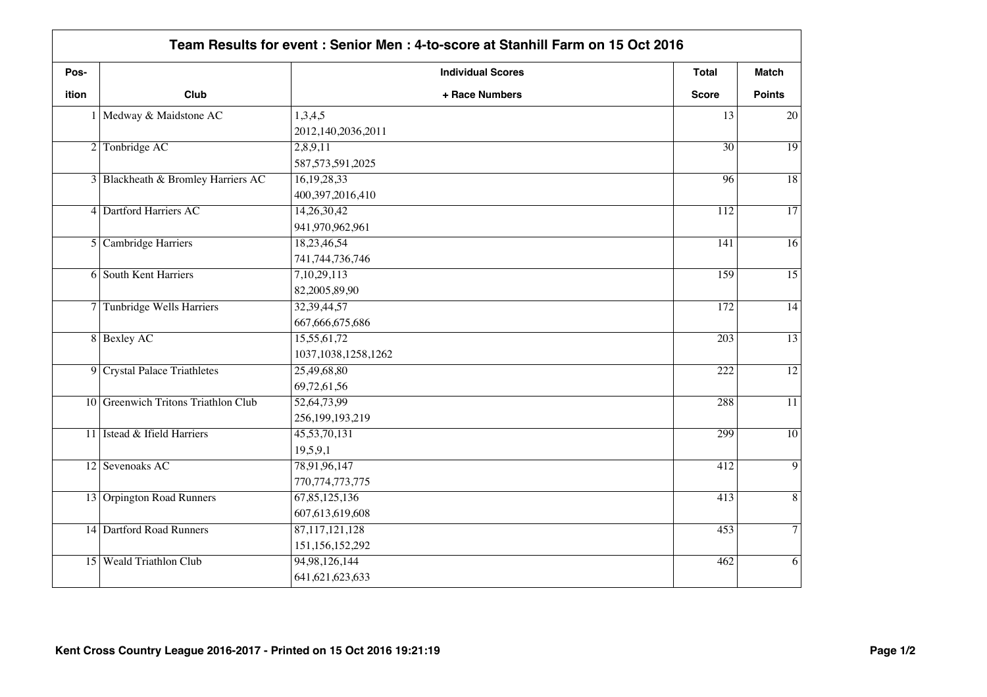| Pos-         |                                     | <b>Individual Scores</b> | <b>Total</b>     | <b>Match</b>    |
|--------------|-------------------------------------|--------------------------|------------------|-----------------|
| <b>ition</b> | Club                                | + Race Numbers           | <b>Score</b>     | <b>Points</b>   |
|              | 1 Medway & Maidstone AC             | 1,3,4,5                  | 13               | 20              |
|              |                                     | 2012, 140, 2036, 2011    |                  |                 |
|              | 2 Tonbridge AC                      | 2,8,9,11                 | $\overline{30}$  | $\overline{19}$ |
|              |                                     | 587, 573, 591, 2025      |                  |                 |
|              | 3 Blackheath & Bromley Harriers AC  | 16,19,28,33              | 96               | $\overline{18}$ |
|              |                                     | 400,397,2016,410         |                  |                 |
|              | 4 Dartford Harriers AC              | 14,26,30,42              | 112              | $\overline{17}$ |
|              |                                     | 941,970,962,961          |                  |                 |
|              | 5 Cambridge Harriers                | 18,23,46,54              | 141              | $\overline{16}$ |
|              |                                     | 741, 744, 736, 746       |                  |                 |
|              | <b>6</b> South Kent Harriers        | 7,10,29,113              | 159              | $\overline{15}$ |
|              |                                     | 82,2005,89,90            |                  |                 |
|              | 7 Tunbridge Wells Harriers          | 32,39,44,57              | 172              | $\overline{14}$ |
|              |                                     | 667, 666, 675, 686       |                  |                 |
|              | 8 Bexley AC                         | 15,55,61,72              | $\overline{203}$ | $\overline{13}$ |
|              |                                     | 1037, 1038, 1258, 1262   |                  |                 |
|              | 9 Crystal Palace Triathletes        | 25,49,68,80              | 222              | $\overline{12}$ |
|              |                                     | 69,72,61,56              |                  |                 |
|              | 10 Greenwich Tritons Triathlon Club | 52,64,73,99              | 288              | $\overline{11}$ |
|              |                                     | 256,199,193,219          |                  |                 |
|              | 11 Istead & Ifield Harriers         | 45,53,70,131             | 299              | $\overline{10}$ |
|              |                                     | 19,5,9,1                 |                  |                 |
|              | 12 Sevenoaks AC                     | 78,91,96,147             | 412              | $\overline{9}$  |
|              |                                     | 770, 774, 773, 775       |                  |                 |
|              | 13 Orpington Road Runners           | 67,85,125,136            | 413              | $\overline{8}$  |
|              |                                     | 607,613,619,608          |                  |                 |
|              | 14 Dartford Road Runners            | 87, 117, 121, 128        | 453              | $\overline{7}$  |
|              |                                     | 151,156,152,292          |                  |                 |
|              | 15 Weald Triathlon Club             | 94,98,126,144            | 462              | 6               |
|              |                                     | 641, 621, 623, 633       |                  |                 |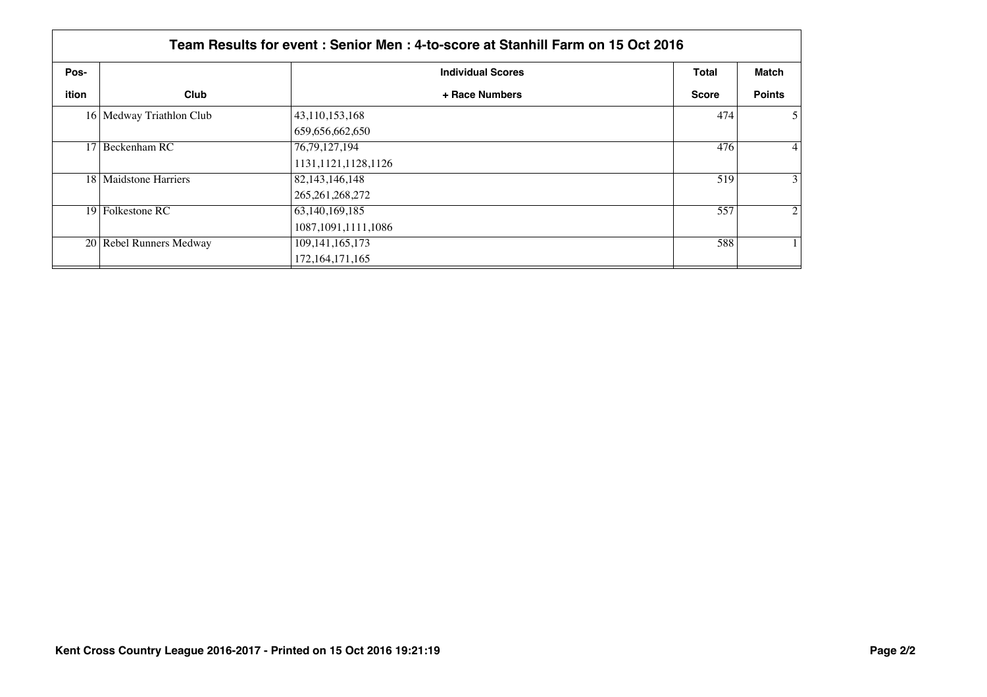| Team Results for event : Senior Men : 4-to-score at Stanhill Farm on 15 Oct 2016 |                          |                          |              |                 |  |  |  |
|----------------------------------------------------------------------------------|--------------------------|--------------------------|--------------|-----------------|--|--|--|
| Pos-                                                                             |                          | <b>Individual Scores</b> | <b>Total</b> | Match           |  |  |  |
| ition                                                                            | Club                     | + Race Numbers           | <b>Score</b> | <b>Points</b>   |  |  |  |
|                                                                                  | 16 Medway Triathlon Club | 43,110,153,168           | 474          | $\mathfrak{H}$  |  |  |  |
|                                                                                  |                          | 659,656,662,650          |              |                 |  |  |  |
|                                                                                  | 17 Beckenham RC          | 76, 79, 127, 194         | 476          | $\vert 4 \vert$ |  |  |  |
|                                                                                  |                          | 1131, 1121, 1128, 1126   |              |                 |  |  |  |
|                                                                                  | 18   Maidstone Harriers  | 82, 143, 146, 148        | 519          | $\overline{3}$  |  |  |  |
|                                                                                  |                          | 265, 261, 268, 272       |              |                 |  |  |  |
|                                                                                  | 19 Folkestone RC         | 63,140,169,185           | 557          | $\overline{2}$  |  |  |  |
|                                                                                  |                          | 1087, 1091, 1111, 1086   |              |                 |  |  |  |
|                                                                                  | 20 Rebel Runners Medway  | 109, 141, 165, 173       | 588          |                 |  |  |  |
|                                                                                  |                          | 172, 164, 171, 165       |              |                 |  |  |  |